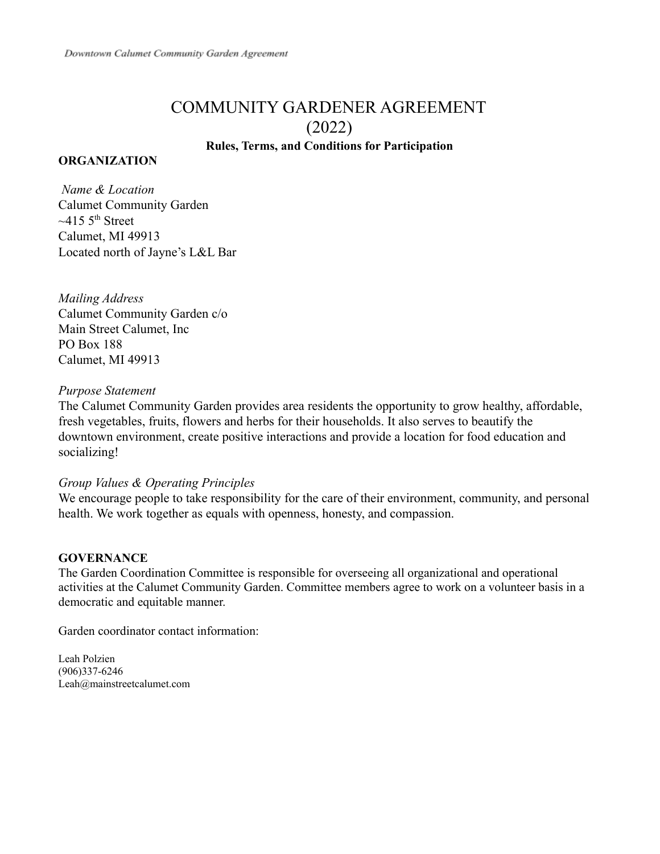# COMMUNITY GARDENER AGREEMENT (2022) **Rules, Terms, and Conditions for Participation**

### **ORGANIZATION**

*Name & Location* Calumet Community Garden  $~15~5$ <sup>th</sup> Street Calumet, MI 49913 Located north of Jayne's L&L Bar

*Mailing Address* Calumet Community Garden c/o Main Street Calumet, Inc PO Box 188 Calumet, MI 49913

### *Purpose Statement*

The Calumet Community Garden provides area residents the opportunity to grow healthy, affordable, fresh vegetables, fruits, flowers and herbs for their households. It also serves to beautify the downtown environment, create positive interactions and provide a location for food education and socializing!

#### *Group Values & Operating Principles*

We encourage people to take responsibility for the care of their environment, community, and personal health. We work together as equals with openness, honesty, and compassion.

#### **GOVERNANCE**

The Garden Coordination Committee is responsible for overseeing all organizational and operational activities at the Calumet Community Garden. Committee members agree to work on a volunteer basis in a democratic and equitable manner.

Garden coordinator contact information:

Leah Polzien (906)337-6246 Leah@mainstreetcalumet.com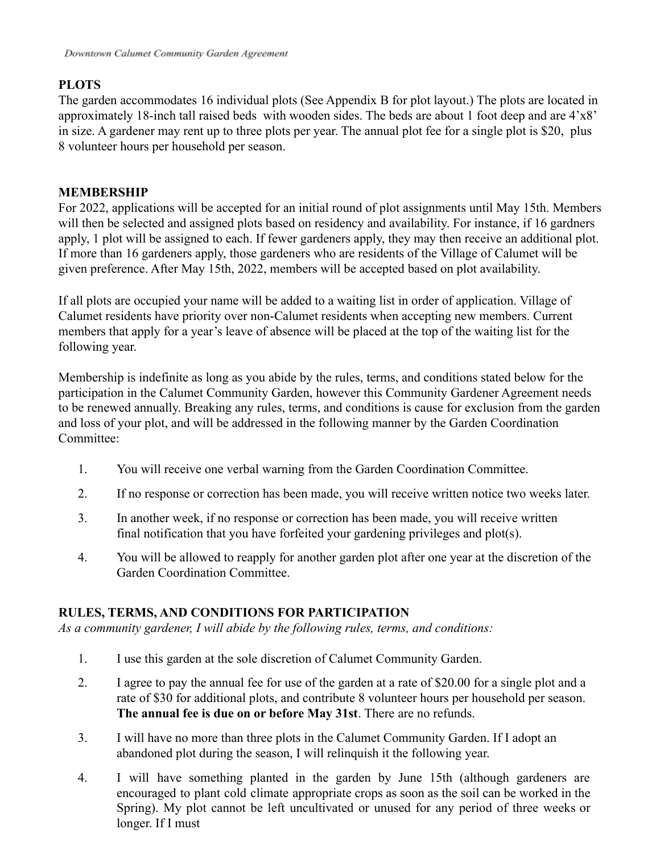### **PLOTS**

The garden accommodates 16 individual plots (See Appendix B for plot layout.) The plots are located in approximately 18-inch tall raised beds with wooden sides. The beds are about 1 foot deep and are 4'x8' in size. A gardener may rent up to three plots per year. The annual plot fee for a single plot is \$20, plus 8 volunteer hours per household per season.

### **MEMBERSHIP**

For 2022, applications will be accepted for an initial round of plot assignments until May 15th. Members will then be selected and assigned plots based on residency and availability. For instance, if 16 gardners apply, 1 plot will be assigned to each. If fewer gardeners apply, they may then receive an additional plot. If more than 16 gardeners apply, those gardeners who are residents of the Village of Calumet will be given preference. After May 15th, 2022, members will be accepted based on plot availability.

If all plots are occupied your name will be added to a waiting list in order of application. Village of Calumet residents have priority over non-Calumet residents when accepting new members. Current members that apply for a year's leave of absence will be placed at the top of the waiting list for the following year.

Membership is indefinite as long as you abide by the rules, terms, and conditions stated below for the participation in the Calumet Community Garden, however this Community Gardener Agreement needs to be renewed annually. Breaking any rules, terms, and conditions is cause for exclusion from the garden and loss of your plot, and will be addressed in the following manner by the Garden Coordination Committee:

- 1. You will receive one verbal warning from the Garden Coordination Committee.
- 2. If no response or correction has been made, you will receive written notice two weeks later.
- 3. In another week, if no response or correction has been made, you will receive written final notification that you have forfeited your gardening privileges and plot(s).
- 4. You will be allowed to reapply for another garden plot after one year at the discretion of the Garden Coordination Committee.

## **RULES, TERMS, AND CONDITIONS FOR PARTICIPATION**

*As a community gardener, I will abide by the following rules, terms, and conditions:*

- 1. I use this garden at the sole discretion of Calumet Community Garden.
- 2. I agree to pay the annual fee for use of the garden at a rate of \$20.00 for a single plot and a rate of \$30 for additional plots, and contribute 8 volunteer hours per household per season. **The annual fee is due on or before May 31st**. There are no refunds.
- 3. I will have no more than three plots in the Calumet Community Garden. If I adopt an abandoned plot during the season, I will relinquish it the following year.
- 4. I will have something planted in the garden by June 15th (although gardeners are encouraged to plant cold climate appropriate crops as soon as the soil can be worked in the Spring). My plot cannot be left uncultivated or unused for any period of three weeks or longer. If I must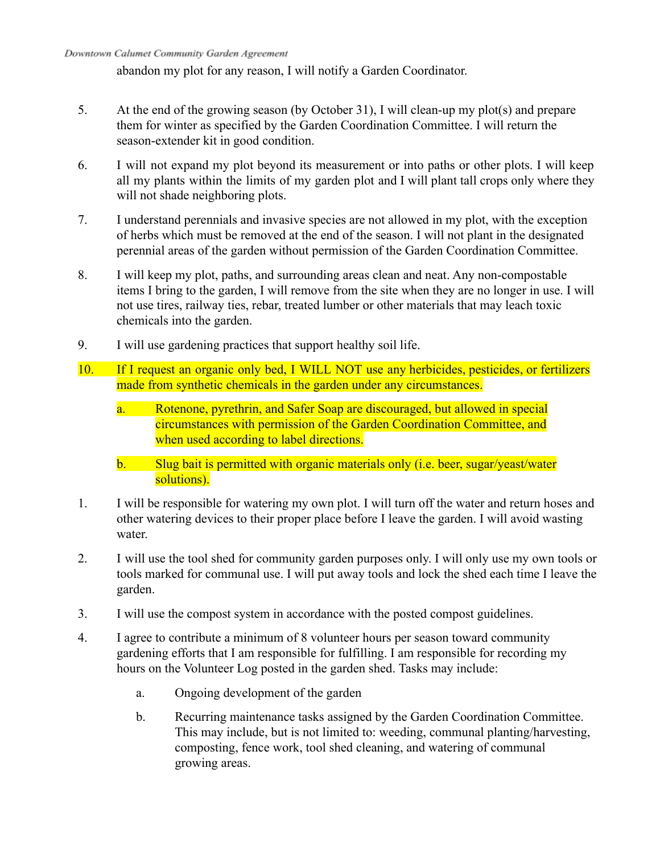abandon my plot for any reason, I will notify a Garden Coordinator.

- 5. At the end of the growing season (by October 31), I will clean-up my plot(s) and prepare them for winter as specified by the Garden Coordination Committee. I will return the season-extender kit in good condition.
- 6. I will not expand my plot beyond its measurement or into paths or other plots. I will keep all my plants within the limits of my garden plot and I will plant tall crops only where they will not shade neighboring plots.
- 7. I understand perennials and invasive species are not allowed in my plot, with the exception of herbs which must be removed at the end of the season. I will not plant in the designated perennial areas of the garden without permission of the Garden Coordination Committee.
- 8. I will keep my plot, paths, and surrounding areas clean and neat. Any non-compostable items I bring to the garden, I will remove from the site when they are no longer in use. I will not use tires, railway ties, rebar, treated lumber or other materials that may leach toxic chemicals into the garden.
- 9. I will use gardening practices that support healthy soil life.
- 10. If I request an organic only bed, I WILL NOT use any herbicides, pesticides, or fertilizers made from synthetic chemicals in the garden under any circumstances.
	- a. Rotenone, pyrethrin, and Safer Soap are discouraged, but allowed in special circumstances with permission of the Garden Coordination Committee, and when used according to label directions.
	- b. Slug bait is permitted with organic materials only (i.e. beer, sugar/yeast/water solutions).
- 1. I will be responsible for watering my own plot. I will turn off the water and return hoses and other watering devices to their proper place before I leave the garden. I will avoid wasting water.
- 2. I will use the tool shed for community garden purposes only. I will only use my own tools or tools marked for communal use. I will put away tools and lock the shed each time I leave the garden.
- 3. I will use the compost system in accordance with the posted compost guidelines.
- 4. I agree to contribute a minimum of 8 volunteer hours per season toward community gardening efforts that I am responsible for fulfilling. I am responsible for recording my hours on the Volunteer Log posted in the garden shed. Tasks may include:
	- a. Ongoing development of the garden
	- b. Recurring maintenance tasks assigned by the Garden Coordination Committee. This may include, but is not limited to: weeding, communal planting/harvesting, composting, fence work, tool shed cleaning, and watering of communal growing areas.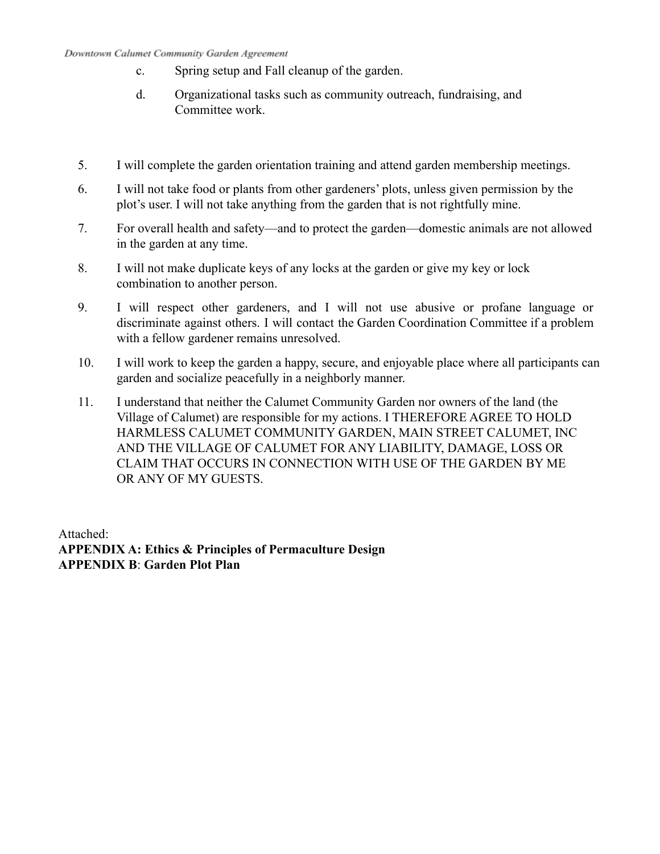#### Downtown Calumet Community Garden Agreement

- c. Spring setup and Fall cleanup of the garden.
- d. Organizational tasks such as community outreach, fundraising, and Committee work.
- 5. I will complete the garden orientation training and attend garden membership meetings.
- 6. I will not take food or plants from other gardeners' plots, unless given permission by the plot's user. I will not take anything from the garden that is not rightfully mine.
- 7. For overall health and safety—and to protect the garden—domestic animals are not allowed in the garden at any time.
- 8. I will not make duplicate keys of any locks at the garden or give my key or lock combination to another person.
- 9. I will respect other gardeners, and I will not use abusive or profane language or discriminate against others. I will contact the Garden Coordination Committee if a problem with a fellow gardener remains unresolved.
- 10. I will work to keep the garden a happy, secure, and enjoyable place where all participants can garden and socialize peacefully in a neighborly manner.
- 11. I understand that neither the Calumet Community Garden nor owners of the land (the Village of Calumet) are responsible for my actions. I THEREFORE AGREE TO HOLD HARMLESS CALUMET COMMUNITY GARDEN, MAIN STREET CALUMET, INC AND THE VILLAGE OF CALUMET FOR ANY LIABILITY, DAMAGE, LOSS OR CLAIM THAT OCCURS IN CONNECTION WITH USE OF THE GARDEN BY ME OR ANY OF MY GUESTS.

Attached: **APPENDIX A: Ethics & Principles of Permaculture Design APPENDIX B**: **Garden Plot Plan**